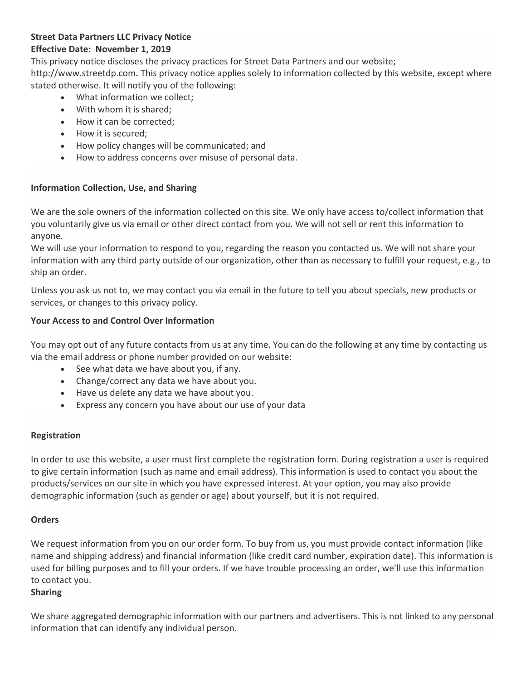# **Street Data Partners LLC Privacy Notice**

# **Effective Date: November 1, 2019**

This privacy notice discloses the privacy practices for Street Data Partners and our website; http://www.streetdp.com**.** This privacy notice applies solely to information collected by this website, except where stated otherwise. It will notify you of the following:

- What information we collect;
- With whom it is shared;
- How it can be corrected;
- How it is secured;
- How policy changes will be communicated; and
- How to address concerns over misuse of personal data.

## **Information Collection, Use, and Sharing**

We are the sole owners of the information collected on this site. We only have access to/collect information that you voluntarily give us via email or other direct contact from you. We will not sell or rent this information to anyone.

We will use your information to respond to you, regarding the reason you contacted us. We will not share your information with any third party outside of our organization, other than as necessary to fulfill your request, e.g., to ship an order.

Unless you ask us not to, we may contact you via email in the future to tell you about specials, new products or services, or changes to this privacy policy.

## **Your Access to and Control Over Information**

You may opt out of any future contacts from us at any time. You can do the following at any time by contacting us via the email address or phone number provided on our website:

- See what data we have about you, if any.
- Change/correct any data we have about you.
- Have us delete any data we have about you.
- Express any concern you have about our use of your data

## **Registration**

In order to use this website, a user must first complete the registration form. During registration a user is required to give certain information (such as name and email address). This information is used to contact you about the products/services on our site in which you have expressed interest. At your option, you may also provide demographic information (such as gender or age) about yourself, but it is not required.

## **Orders**

We request information from you on our order form. To buy from us, you must provide contact information (like name and shipping address) and financial information (like credit card number, expiration date). This information is used for billing purposes and to fill your orders. If we have trouble processing an order, we'll use this information to contact you.

## **Sharing**

We share aggregated demographic information with our partners and advertisers. This is not linked to any personal information that can identify any individual person.